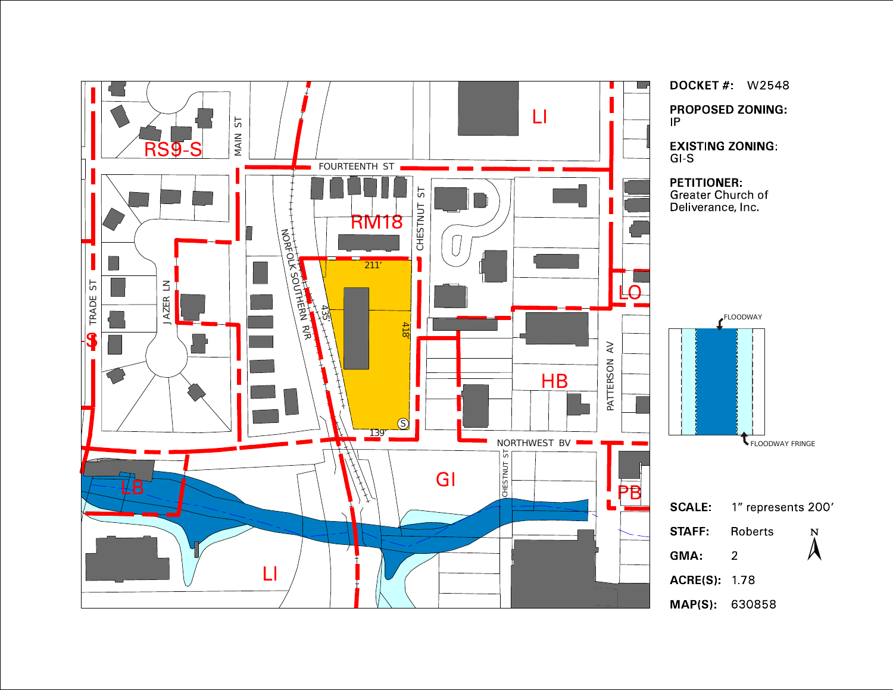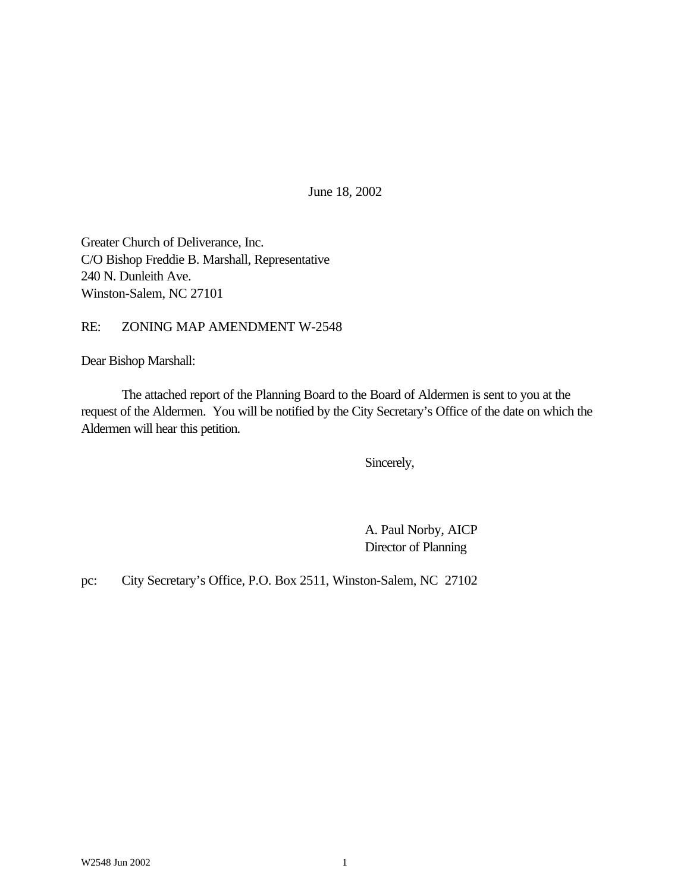June 18, 2002

Greater Church of Deliverance, Inc. C/O Bishop Freddie B. Marshall, Representative 240 N. Dunleith Ave. Winston-Salem, NC 27101

RE: ZONING MAP AMENDMENT W-2548

Dear Bishop Marshall:

The attached report of the Planning Board to the Board of Aldermen is sent to you at the request of the Aldermen. You will be notified by the City Secretary's Office of the date on which the Aldermen will hear this petition.

Sincerely,

A. Paul Norby, AICP Director of Planning

pc: City Secretary's Office, P.O. Box 2511, Winston-Salem, NC 27102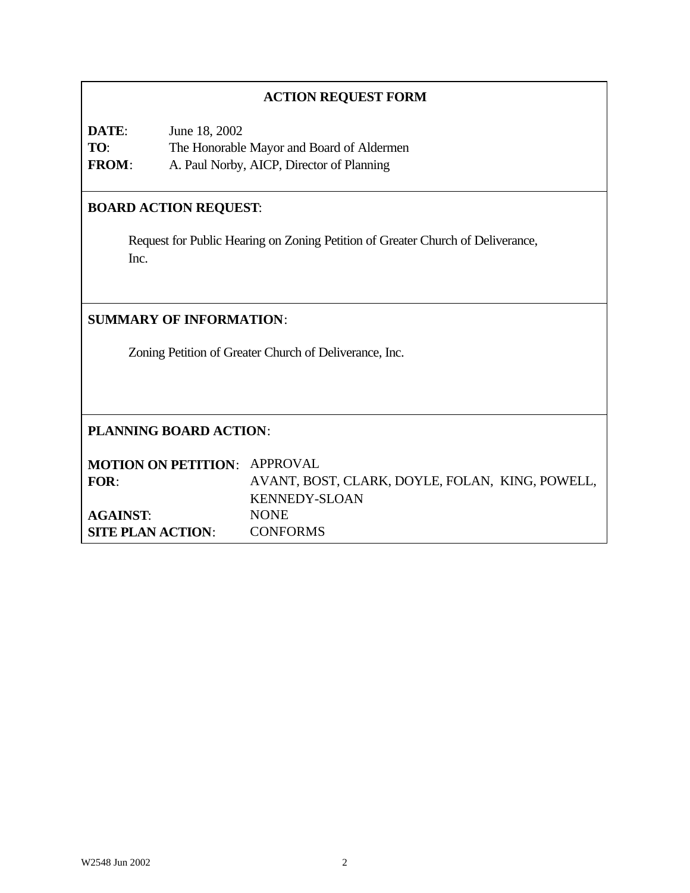# **ACTION REQUEST FORM**

| DATE:        | June 18, 2002                             |
|--------------|-------------------------------------------|
| TO:          | The Honorable Mayor and Board of Aldermen |
| <b>FROM:</b> | A. Paul Norby, AICP, Director of Planning |

# **BOARD ACTION REQUEST**:

Request for Public Hearing on Zoning Petition of Greater Church of Deliverance, Inc.

## **SUMMARY OF INFORMATION**:

Zoning Petition of Greater Church of Deliverance, Inc.

# **PLANNING BOARD ACTION**:

| <b>MOTION ON PETITION: APPROVAL</b> |                                                 |
|-------------------------------------|-------------------------------------------------|
| FOR:                                | AVANT, BOST, CLARK, DOYLE, FOLAN, KING, POWELL, |
|                                     | KENNEDY-SLOAN                                   |
| <b>AGAINST:</b>                     | <b>NONE</b>                                     |
| SITE PLAN ACTION:                   | <b>CONFORMS</b>                                 |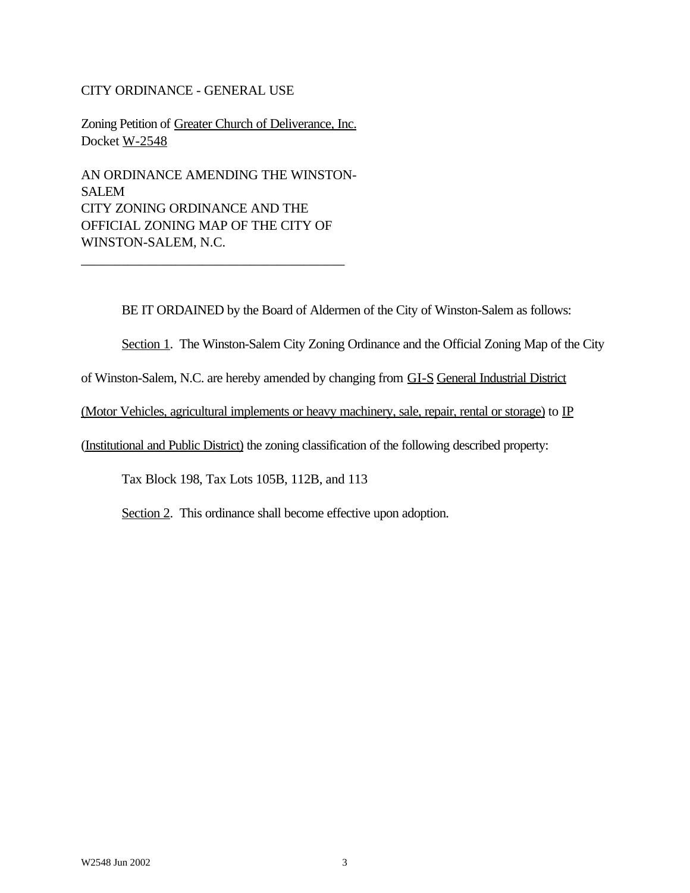#### CITY ORDINANCE - GENERAL USE

Zoning Petition of Greater Church of Deliverance, Inc. Docket W-2548

AN ORDINANCE AMENDING THE WINSTON-SALEM CITY ZONING ORDINANCE AND THE OFFICIAL ZONING MAP OF THE CITY OF WINSTON-SALEM, N.C.

\_\_\_\_\_\_\_\_\_\_\_\_\_\_\_\_\_\_\_\_\_\_\_\_\_\_\_\_\_\_\_\_\_\_\_\_\_\_\_

BE IT ORDAINED by the Board of Aldermen of the City of Winston-Salem as follows:

Section 1. The Winston-Salem City Zoning Ordinance and the Official Zoning Map of the City

of Winston-Salem, N.C. are hereby amended by changing from GI-S General Industrial District

(Motor Vehicles, agricultural implements or heavy machinery, sale, repair, rental or storage) to IP

(Institutional and Public District) the zoning classification of the following described property:

Tax Block 198, Tax Lots 105B, 112B, and 113

Section 2. This ordinance shall become effective upon adoption.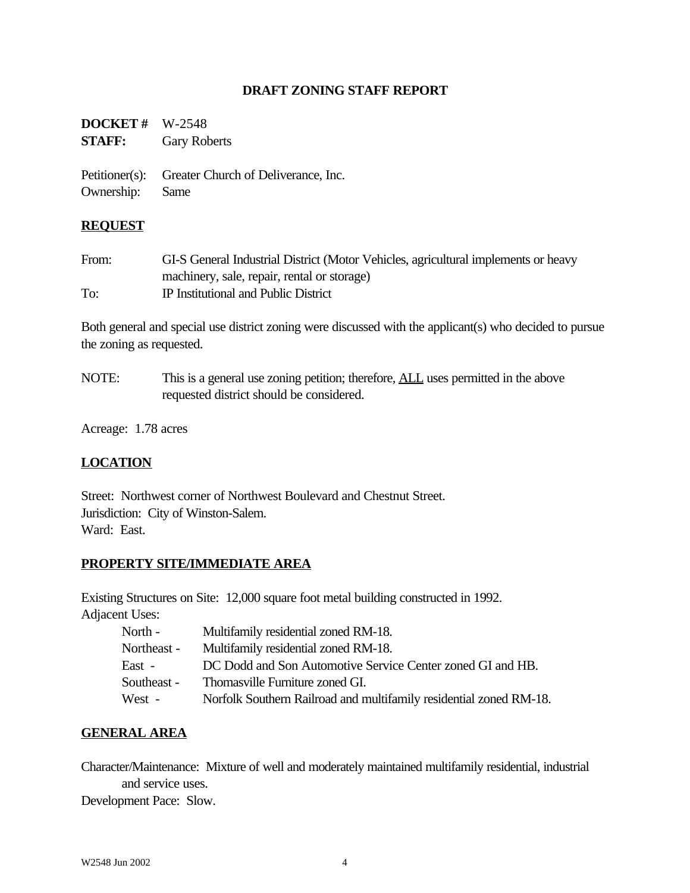## **DRAFT ZONING STAFF REPORT**

| <b>DOCKET</b> # $W-2548$<br><b>STAFF:</b> | <b>Gary Roberts</b>                                |
|-------------------------------------------|----------------------------------------------------|
| Ownership: Same                           | Petitioner(s): Greater Church of Deliverance, Inc. |

#### **REQUEST**

| From: | GI-S General Industrial District (Motor Vehicles, agricultural implements or heavy |
|-------|------------------------------------------------------------------------------------|
|       | machinery, sale, repair, rental or storage)                                        |
| To:   | IP Institutional and Public District                                               |

Both general and special use district zoning were discussed with the applicant(s) who decided to pursue the zoning as requested.

NOTE: This is a general use zoning petition; therefore, **ALL** uses permitted in the above requested district should be considered.

Acreage: 1.78 acres

## **LOCATION**

Street: Northwest corner of Northwest Boulevard and Chestnut Street. Jurisdiction: City of Winston-Salem. Ward: East.

### **PROPERTY SITE/IMMEDIATE AREA**

Existing Structures on Site: 12,000 square foot metal building constructed in 1992. Adjacent Uses:

| North -     | Multifamily residential zoned RM-18.                               |
|-------------|--------------------------------------------------------------------|
| Northeast - | Multifamily residential zoned RM-18.                               |
| East -      | DC Dodd and Son Automotive Service Center zoned GI and HB.         |
| Southeast - | Thomasville Furniture zoned GI.                                    |
| West -      | Norfolk Southern Railroad and multifamily residential zoned RM-18. |

### **GENERAL AREA**

Character/Maintenance: Mixture of well and moderately maintained multifamily residential, industrial and service uses.

Development Pace: Slow.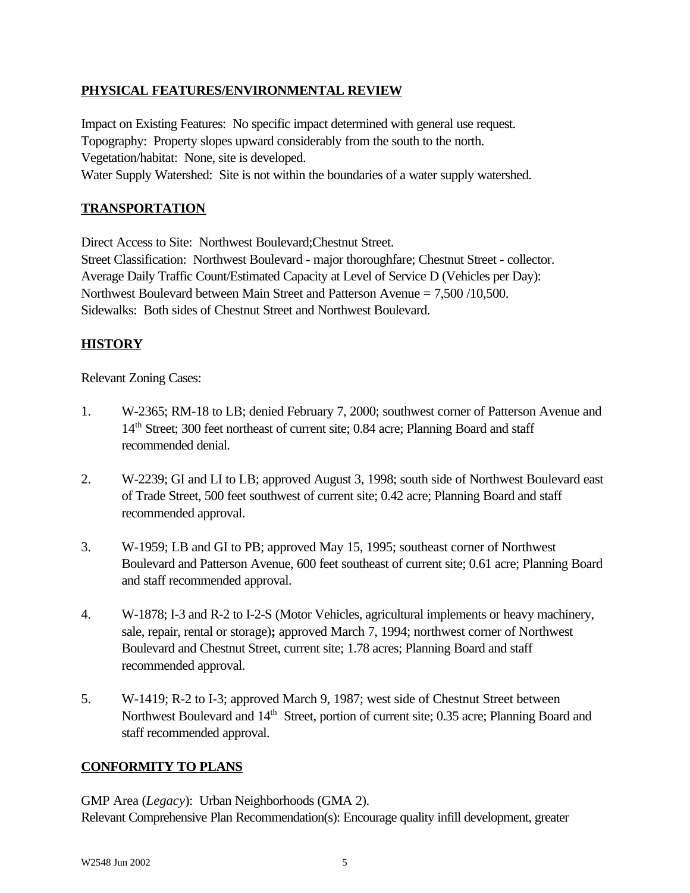# **PHYSICAL FEATURES/ENVIRONMENTAL REVIEW**

Impact on Existing Features: No specific impact determined with general use request. Topography: Property slopes upward considerably from the south to the north. Vegetation/habitat: None, site is developed. Water Supply Watershed: Site is not within the boundaries of a water supply watershed.

## **TRANSPORTATION**

Direct Access to Site: Northwest Boulevard;Chestnut Street.

Street Classification: Northwest Boulevard - major thoroughfare; Chestnut Street - collector. Average Daily Traffic Count/Estimated Capacity at Level of Service D (Vehicles per Day): Northwest Boulevard between Main Street and Patterson Avenue = 7,500 /10,500. Sidewalks: Both sides of Chestnut Street and Northwest Boulevard.

# **HISTORY**

## Relevant Zoning Cases:

- 1. W-2365; RM-18 to LB; denied February 7, 2000; southwest corner of Patterson Avenue and 14<sup>th</sup> Street; 300 feet northeast of current site; 0.84 acre; Planning Board and staff recommended denial.
- 2. W-2239; GI and LI to LB; approved August 3, 1998; south side of Northwest Boulevard east of Trade Street, 500 feet southwest of current site; 0.42 acre; Planning Board and staff recommended approval.
- 3. W-1959; LB and GI to PB; approved May 15, 1995; southeast corner of Northwest Boulevard and Patterson Avenue, 600 feet southeast of current site; 0.61 acre; Planning Board and staff recommended approval.
- 4. W-1878; I-3 and R-2 to I-2-S (Motor Vehicles, agricultural implements or heavy machinery, sale, repair, rental or storage)**;** approved March 7, 1994; northwest corner of Northwest Boulevard and Chestnut Street, current site; 1.78 acres; Planning Board and staff recommended approval.
- 5. W-1419; R-2 to I-3; approved March 9, 1987; west side of Chestnut Street between Northwest Boulevard and 14<sup>th</sup> Street, portion of current site; 0.35 acre; Planning Board and staff recommended approval.

## **CONFORMITY TO PLANS**

GMP Area (*Legacy*): Urban Neighborhoods (GMA 2). Relevant Comprehensive Plan Recommendation(s): Encourage quality infill development, greater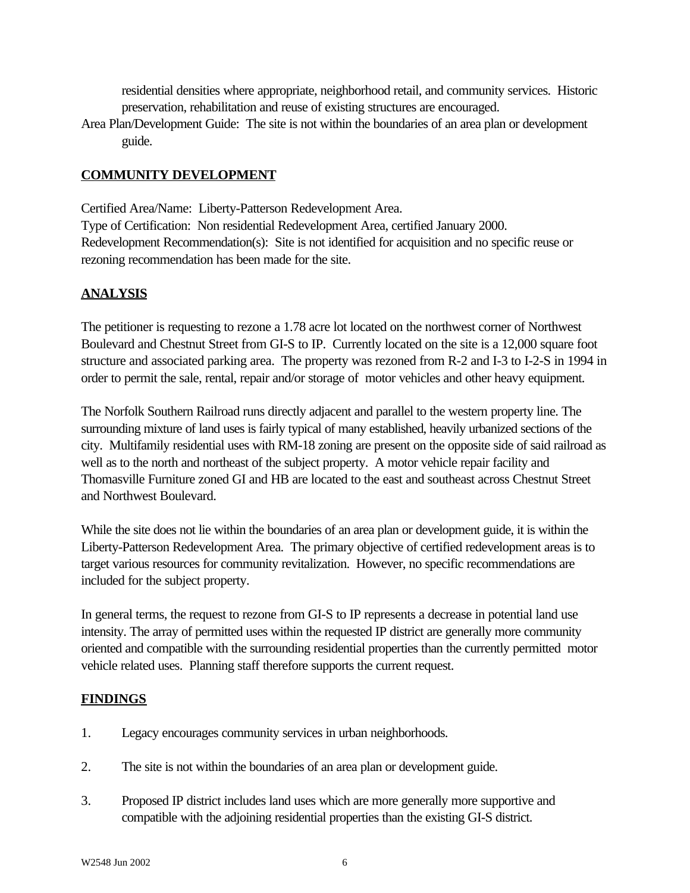residential densities where appropriate, neighborhood retail, and community services. Historic preservation, rehabilitation and reuse of existing structures are encouraged.

Area Plan/Development Guide: The site is not within the boundaries of an area plan or development guide.

# **COMMUNITY DEVELOPMENT**

rezoning recommendation has been made for the site.

Certified Area/Name: Liberty-Patterson Redevelopment Area. Type of Certification: Non residential Redevelopment Area, certified January 2000. Redevelopment Recommendation(s): Site is not identified for acquisition and no specific reuse or

# **ANALYSIS**

The petitioner is requesting to rezone a 1.78 acre lot located on the northwest corner of Northwest Boulevard and Chestnut Street from GI-S to IP. Currently located on the site is a 12,000 square foot structure and associated parking area. The property was rezoned from R-2 and I-3 to I-2-S in 1994 in order to permit the sale, rental, repair and/or storage of motor vehicles and other heavy equipment.

The Norfolk Southern Railroad runs directly adjacent and parallel to the western property line. The surrounding mixture of land uses is fairly typical of many established, heavily urbanized sections of the city. Multifamily residential uses with RM-18 zoning are present on the opposite side of said railroad as well as to the north and northeast of the subject property. A motor vehicle repair facility and Thomasville Furniture zoned GI and HB are located to the east and southeast across Chestnut Street and Northwest Boulevard.

While the site does not lie within the boundaries of an area plan or development guide, it is within the Liberty-Patterson Redevelopment Area. The primary objective of certified redevelopment areas is to target various resources for community revitalization. However, no specific recommendations are included for the subject property.

In general terms, the request to rezone from GI-S to IP represents a decrease in potential land use intensity. The array of permitted uses within the requested IP district are generally more community oriented and compatible with the surrounding residential properties than the currently permitted motor vehicle related uses. Planning staff therefore supports the current request.

## **FINDINGS**

- 1. Legacy encourages community services in urban neighborhoods.
- 2. The site is not within the boundaries of an area plan or development guide.
- 3. Proposed IP district includes land uses which are more generally more supportive and compatible with the adjoining residential properties than the existing GI-S district.